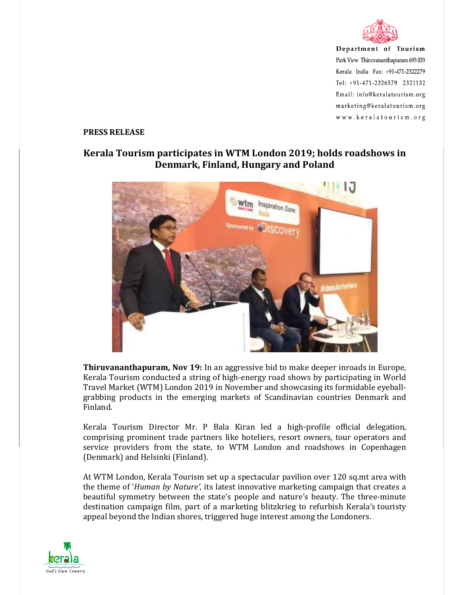

Department of Tourism Park View Thiruvananthapuram 695 033 Kerala India Fax: +91-471-2322279 Tel: +91-471-2326579 2321132 Email: info@keralatourism.org marketing@keralatourism.org www.keralatourism.org

## **PRESS RELEASE**

## **Kerala Tourism participates in WTM London 2019; holds roadshows in Denmark, Finland, Hungary and Poland**



**Thiruvananthapuram, Nov 19:** In an aggressive bid to make deeper inroads in Europe, Kerala Tourism conducted a string of high-energy road shows by participating in World Travel Market (WTM) London 2019 in November and showcasing its formidable eyeballgrabbing products in the emerging markets of Scandinavian countries Denmark and Finland.

Kerala Tourism Director Mr. P Bala Kiran led a high-profile official delegation, comprising prominent trade partners like hoteliers, resort owners, tour operators and service providers from the state, to WTM London and roadshows in Copenhagen (Denmark) and Helsinki (Finland).

At WTM London, Kerala Tourism set up a spectacular pavilion over 120 sq.mt area with the theme of '*Human by Nature',* its latest innovative marketing campaign that creates a beautiful symmetry between the state's people and nature's beauty. The three-minute destination campaign film, part of a marketing blitzkrieg to refurbish Kerala's touristy appeal beyond the Indian shores, triggered huge interest among the Londoners.

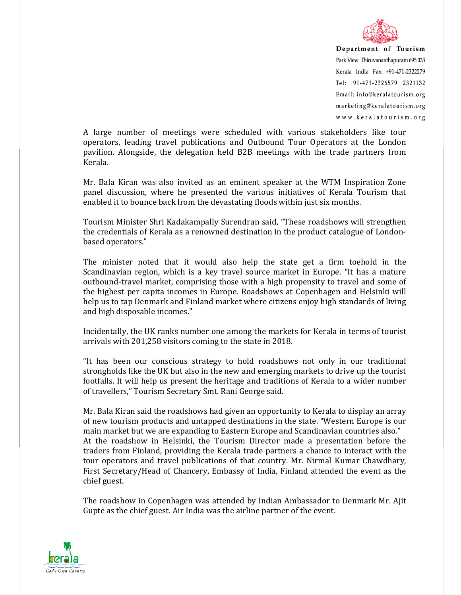

Department of Tourism Park View Thiruvananthapuram 695 033 Kerala India Fax: +91-471-2322279 Tel: +91-471-2326579 2321132 Email: info@keralatourism.org marketing@keralatourism.org www.keralatourism.org

A large number of meetings were scheduled with various stakeholders like tour operators, leading travel publications and Outbound Tour Operators at the London pavilion. Alongside, the delegation held B2B meetings with the trade partners from Kerala.

Mr. Bala Kiran was also invited as an eminent speaker at the WTM Inspiration Zone panel discussion, where he presented the various initiatives of Kerala Tourism that enabled it to bounce back from the devastating floods within just six months.

Tourism Minister Shri Kadakampally Surendran said, "These roadshows will strengthen the credentials of Kerala as a renowned destination in the product catalogue of Londonbased operators."

The minister noted that it would also help the state get a firm toehold in the Scandinavian region, which is a key travel source market in Europe. "It has a mature outbound-travel market, comprising those with a high propensity to travel and some of the highest per capita incomes in Europe. Roadshows at Copenhagen and Helsinki will help us to tap Denmark and Finland market where citizens enjoy high standards of living and high disposable incomes."

Incidentally, the UK ranks number one among the markets for Kerala in terms of tourist arrivals with 201,258 visitors coming to the state in 2018.

"It has been our conscious strategy to hold roadshows not only in our traditional strongholds like the UK but also in the new and emerging markets to drive up the tourist footfalls. It will help us present the heritage and traditions of Kerala to a wider number of travellers," Tourism Secretary Smt. Rani George said.

Mr. Bala Kiran said the roadshows had given an opportunity to Kerala to display an array of new tourism products and untapped destinations in the state. "Western Europe is our main market but we are expanding to Eastern Europe and Scandinavian countries also." At the roadshow in Helsinki, the Tourism Director made a presentation before the traders from Finland, providing the Kerala trade partners a chance to interact with the tour operators and travel publications of that country. Mr. Nirmal Kumar Chawdhary, First Secretary/Head of Chancery, Embassy of India, Finland attended the event as the chief guest.

The roadshow in Copenhagen was attended by Indian Ambassador to Denmark Mr. Ajit Gupte as the chief guest. Air India was the airline partner of the event.